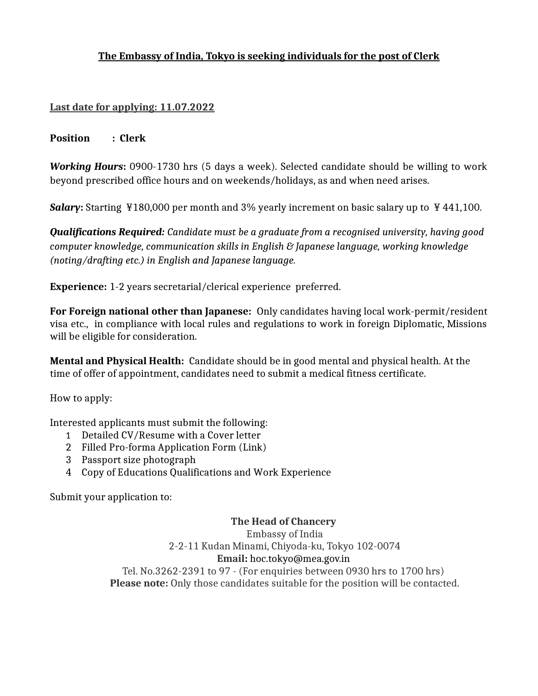# **The Embassy of India, Tokyo is seeking individuals for the post of Clerk**

### Last date for applying: 11.07.2022

**Position : Clerk**

*Working Hours***:** 0900-1730 hrs (5 days a week). Selected candidate should be willing to work beyond prescribed office hours and on weekends/holidays, as and when need arises.

**Salary:** Starting ¥180,000 per month and 3% yearly increment on basic salary up to ¥441,100.

*Qualifications Required: Candidate must be a graduate from a recognised university, having good computer knowledge, communication skills in English & Japanese language, working knowledge (noting/drafting etc.) in English and Japanese language.*

**Experience:** 1-2 years secretarial/clerical experience preferred.

**For Foreign national other than Japanese:** Only candidates having local work-permit/resident visa etc., in compliance with local rules and regulations to work in foreign Diplomatic, Missions will be eligible for consideration.

**Mental and Physical Health:** Candidate should be in good mental and physical health. At the time of offer of appointment, candidates need to submit a medical fitness certificate.

How to apply:

Interested applicants must submit the following:

- 1 Detailed CV/Resume with a Cover letter
- 2 Filled Pro-forma Application Form (Link)
- 3 Passport size photograph
- 4 Copy of Educations Qualifications and Work Experience

Submit your application to:

**The Head of Chancery** Embassy of India 2-2-11 Kudan Minami, Chiyoda-ku, Tokyo 102-0074 **Email:** hoc.tokyo@mea.gov.in Tel. No.3262-2391 to 97 - (For enquiries between 0930 hrs to 1700 hrs) Please note: Only those candidates suitable for the position will be contacted.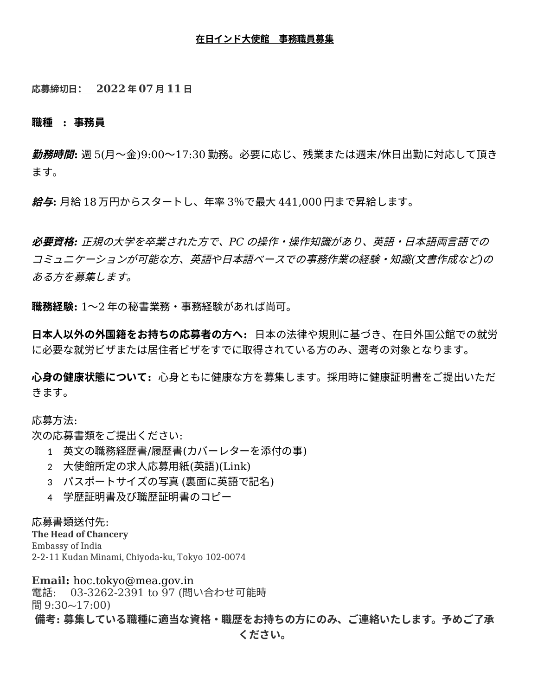#### **在日インド大使館 事務職員募集**

### **応募締切日: 202 2 年 07 月 11 日**

#### **職種 : 事務員**

**勤務時間:** 週 5(月~金)9:00~17:30 勤務。必要に応じ、残業または週末/休日出勤に対応して頂き ます。

**給与:** 月給 18 万円からスタートし、年率 3%で最大 441,000 円まで昇給します。

**必要資格***:* 正規の大学を卒業された方で、*PC* の操作・操作知識があり、英語・日本語両言語での コミュニケーションが可能な方、英語や日本語ベースでの事務作業の経験・知識*(*文書作成など*)*の ある方を募集します。

**職務経験:** 1~2 年の秘書業務・事務経験があれば尚可。

**日本人以外の外国籍をお持ちの応募者の方へ:** 日本の法律や規則に基づき、在日外国公館での就労 に必要な就労ビザまたは居住者ビザをすでに取得されている方のみ、選考の対象となります。

**心身の健康状態について:** 心身ともに健康な方を募集します。採用時に健康証明書をご提出いただ きます。

応募方法:

次の応募書類をご提出ください:

- 1 英文の職務経歴書/履歴書(カバーレターを添付の事)
- 2 大使館所定の求人応募用紙(英語)(Link)
- 3 パスポートサイズの写真 (裏面に英語で記名)
- 4 学歴証明書及び職歴証明書のコピー

### 応募書類送付先:

**The Head of Chancery** Embassy of India 2-2-11 Kudan Minami, Chiyoda-ku, Tokyo 102-0074

**Email:** hoc.tokyo@mea.gov.in 電話: 03-3262-2391 to 97 (問い合わせ可能時 間 9:30~17:00)

**備考: 募集している職種に適当な資格・職歴をお持ちの方にのみ、ご連絡いたします。予めご了承**

**ください。**